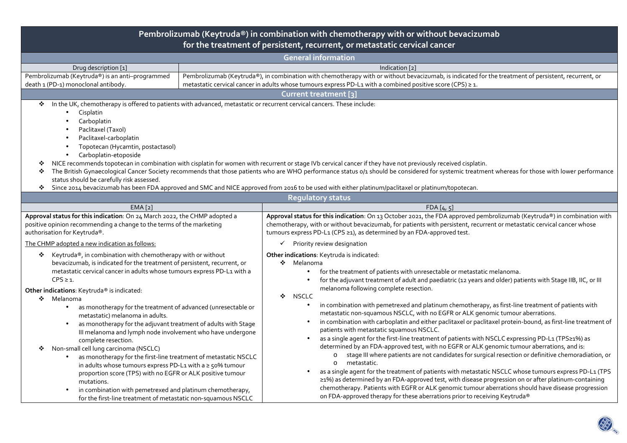| Pembrolizumab (Keytruda®) in combination with chemotherapy with or without bevacizumab<br>for the treatment of persistent, recurrent, or metastatic cervical cancer                                                                                                                                                                                                                                                                                                                                                                                                                                                                                                                                            |                |                                                                                                                                                                                                                                                                                                                                                                                                                                                                                                                                                                                                                                                                                                                                                                                                                                                                                                                                            |  |  |  |  |  |  |
|----------------------------------------------------------------------------------------------------------------------------------------------------------------------------------------------------------------------------------------------------------------------------------------------------------------------------------------------------------------------------------------------------------------------------------------------------------------------------------------------------------------------------------------------------------------------------------------------------------------------------------------------------------------------------------------------------------------|----------------|--------------------------------------------------------------------------------------------------------------------------------------------------------------------------------------------------------------------------------------------------------------------------------------------------------------------------------------------------------------------------------------------------------------------------------------------------------------------------------------------------------------------------------------------------------------------------------------------------------------------------------------------------------------------------------------------------------------------------------------------------------------------------------------------------------------------------------------------------------------------------------------------------------------------------------------------|--|--|--|--|--|--|
| <b>General information</b>                                                                                                                                                                                                                                                                                                                                                                                                                                                                                                                                                                                                                                                                                     |                |                                                                                                                                                                                                                                                                                                                                                                                                                                                                                                                                                                                                                                                                                                                                                                                                                                                                                                                                            |  |  |  |  |  |  |
| Drug description [1]                                                                                                                                                                                                                                                                                                                                                                                                                                                                                                                                                                                                                                                                                           | Indication [2] |                                                                                                                                                                                                                                                                                                                                                                                                                                                                                                                                                                                                                                                                                                                                                                                                                                                                                                                                            |  |  |  |  |  |  |
| Pembrolizumab (Keytruda®) is an anti-programmed                                                                                                                                                                                                                                                                                                                                                                                                                                                                                                                                                                                                                                                                |                | Pembrolizumab (Keytruda®), in combination with chemotherapy with or without bevacizumab, is indicated for the treatment of persistent, recurrent, or                                                                                                                                                                                                                                                                                                                                                                                                                                                                                                                                                                                                                                                                                                                                                                                       |  |  |  |  |  |  |
| death 1 (PD-1) monoclonal antibody.                                                                                                                                                                                                                                                                                                                                                                                                                                                                                                                                                                                                                                                                            |                | metastatic cervical cancer in adults whose tumours express PD-L1 with a combined positive score (CPS) ≥ 1.                                                                                                                                                                                                                                                                                                                                                                                                                                                                                                                                                                                                                                                                                                                                                                                                                                 |  |  |  |  |  |  |
|                                                                                                                                                                                                                                                                                                                                                                                                                                                                                                                                                                                                                                                                                                                |                | Current treatment [3]                                                                                                                                                                                                                                                                                                                                                                                                                                                                                                                                                                                                                                                                                                                                                                                                                                                                                                                      |  |  |  |  |  |  |
| In the UK, chemotherapy is offered to patients with advanced, metastatic or recurrent cervical cancers. These include:<br>❖<br>Cisplatin<br>Carboplatin<br>Paclitaxel (Taxol)<br>Paclitaxel-carboplatin<br>Topotecan (Hycamtin, postactasol)<br>Carboplatin-etoposide<br>$\bullet$<br>NICE recommends topotecan in combination with cisplatin for women with recurrent or stage IVb cervical cancer if they have not previously received cisplatin.<br>❖<br>The British Gynaecological Cancer Society recommends that those patients who are WHO performance status o/1 should be considered for systemic treatment whereas for those with lower performance<br>❖<br>status should be carefully risk assessed. |                |                                                                                                                                                                                                                                                                                                                                                                                                                                                                                                                                                                                                                                                                                                                                                                                                                                                                                                                                            |  |  |  |  |  |  |
| Since 2014 bevacizumab has been FDA approved and SMC and NICE approved from 2016 to be used with either platinum/paclitaxel or platinum/topotecan.<br>❖<br><b>Requlatory status</b>                                                                                                                                                                                                                                                                                                                                                                                                                                                                                                                            |                |                                                                                                                                                                                                                                                                                                                                                                                                                                                                                                                                                                                                                                                                                                                                                                                                                                                                                                                                            |  |  |  |  |  |  |
| EMA [2]                                                                                                                                                                                                                                                                                                                                                                                                                                                                                                                                                                                                                                                                                                        |                | FDA[4, 5]                                                                                                                                                                                                                                                                                                                                                                                                                                                                                                                                                                                                                                                                                                                                                                                                                                                                                                                                  |  |  |  |  |  |  |
| Approval status for this indication: On 24 March 2022, the CHMP adopted a<br>positive opinion recommending a change to the terms of the marketing<br>authorisation for Keytruda®.<br>The CHMP adopted a new indication as follows:                                                                                                                                                                                                                                                                                                                                                                                                                                                                             |                | Approval status for this indication: On 13 October 2021, the FDA approved pembrolizumab (Keytruda®) in combination with<br>chemotherapy, with or without bevacizumab, for patients with persistent, recurrent or metastatic cervical cancer whose<br>tumours express PD-L1 (CPS ≥1), as determined by an FDA-approved test.<br>$\checkmark$ Priority review designation                                                                                                                                                                                                                                                                                                                                                                                                                                                                                                                                                                    |  |  |  |  |  |  |
| Keytruda®, in combination with chemotherapy with or without<br>❖<br>bevacizumab, is indicated for the treatment of persistent, recurrent, or<br>metastatic cervical cancer in adults whose tumours express PD-L1 with a<br>$CPS \geq 1$ .<br>Other indications: Keytruda® is indicated:<br>❖<br>Melanoma<br>as monotherapy for the treatment of advanced (unresectable or<br>$\bullet$<br>metastatic) melanoma in adults.                                                                                                                                                                                                                                                                                      |                | Other indications: Keytruda is indicated:<br>❖ Melanoma<br>for the treatment of patients with unresectable or metastatic melanoma.<br>for the adjuvant treatment of adult and paediatric (12 years and older) patients with Stage IIB, IIC, or III<br>melanoma following complete resection.<br>❖<br>NSCLC<br>in combination with pemetrexed and platinum chemotherapy, as first-line treatment of patients with<br>$\bullet$<br>metastatic non-squamous NSCLC, with no EGFR or ALK genomic tumour aberrations.                                                                                                                                                                                                                                                                                                                                                                                                                            |  |  |  |  |  |  |
| as monotherapy for the adjuvant treatment of adults with Stage<br>III melanoma and lymph node involvement who have undergone<br>complete resection.<br>Non-small cell lung carcinoma (NSCLC)<br>❖<br>as monotherapy for the first-line treatment of metastatic NSCLC<br>in adults whose tumours express PD-L1 with a ≥ 50% tumour<br>proportion score (TPS) with no EGFR or ALK positive tumour<br>mutations.<br>in combination with pemetrexed and platinum chemotherapy,<br>for the first-line treatment of metastatic non-squamous NSCLC                                                                                                                                                                    |                | in combination with carboplatin and either paclitaxel or paclitaxel protein-bound, as first-line treatment of<br>$\bullet$<br>patients with metastatic squamous NSCLC.<br>as a single agent for the first-line treatment of patients with NSCLC expressing PD-L1 (TPS≥1%) as<br>$\bullet$<br>determined by an FDA-approved test, with no EGFR or ALK genomic tumour aberrations, and is:<br>stage III where patients are not candidates for surgical resection or definitive chemoradiation, or<br>$\circ$<br>metastatic.<br>$\circ$<br>as a single agent for the treatment of patients with metastatic NSCLC whose tumours express PD-L1 (TPS<br>≥1%) as determined by an FDA-approved test, with disease progression on or after platinum-containing<br>chemotherapy. Patients with EGFR or ALK genomic tumour aberrations should have disease progression<br>on FDA-approved therapy for these aberrations prior to receiving Keytruda® |  |  |  |  |  |  |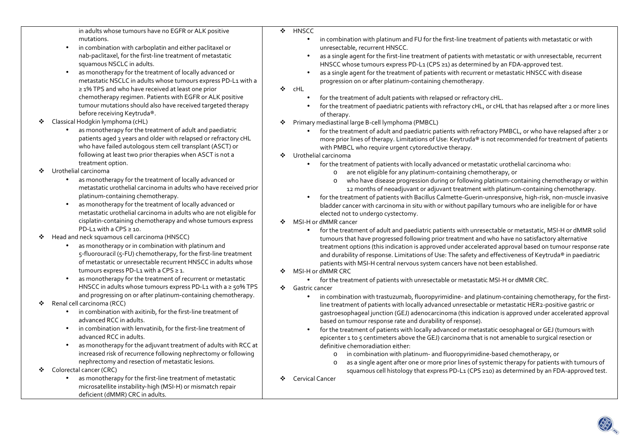in adults whose tumours have no EGFR or ALK positive mutations. • in combination with carboplatin and either paclitaxel or nab‑paclitaxel, for the first‑line treatment of metastatic squamous NSCLC in adults. • as monotherapy for the treatment of locally advanced or metastatic NSCLC in adults whose tumours express PD‑L1 with a ≥ 1% TPS and who have received at least one prior chemotherapy regimen. Patients with EGFR or ALK positive tumour mutations should also have received targeted therapy before receiving Keytruda®. ❖ Classical Hodgkin lymphoma (cHL) • as monotherapy for the treatment of adult and paediatric patients aged 3 years and older with relapsed or refractory cHL who have failed autologous stem cell transplant (ASCT) or following at least two prior therapies when ASCT is not a treatment option. ❖ Urothelial carcinoma • as monotherapy for the treatment of locally advanced or metastatic urothelial carcinoma in adults who have received prior platinum‑containing chemotherapy. • as monotherapy for the treatment of locally advanced or metastatic urothelial carcinoma in adults who are not eligible for cisplatin‑containing chemotherapy and whose tumours express PD‑L1 with a CPS ≥ 10.  $\bullet$  Head and neck squamous cell carcinoma (HNSCC) • as monotherapy or in combination with platinum and 5‑fluorouracil (5‑FU) chemotherapy, for the first‑line treatment of metastatic or unresectable recurrent HNSCC in adults whose tumours express PD-L1 with a CPS ≥ 1. • as monotherapy for the treatment of recurrent or metastatic HNSCC in adults whose tumours express PD-L1 with a ≥ 50% TPS and progressing on or after platinum‑containing chemotherapy.  $\bullet$  Renal cell carcinoma (RCC) •in combination with axitinib, for the first-line treatment of advanced RCC in adults. •in combination with lenvatinib, for the first-line treatment of advanced RCC in adults. • as monotherapy for the adjuvant treatment of adults with RCC at increased risk of recurrence following nephrectomy or following nephrectomy and resection of metastatic lesions. ❖ Colorectal cancer (CRC) •as monotherapy for the first-line treatment of metastatic microsatellite instability‑high (MSI‑H) or mismatch repair deficient (dMMR) CRC in adults.  $\mathcal{L}$ **HNSCC** •••❖ cHL ••of therapy. ❖ •❖ Urothelial carcinoma •o• $\mathcal{L}_{\mathcal{F}}$ • $\mathbf{A}$  MSI-H or dMMR CRC ❖ Gastric cancer ••oo❖ Cervical Cancer

- in combination with platinum and FU for the first-line treatment of patients with metastatic or with unresectable, recurrent HNSCC.
- as a single agent for the first-line treatment of patients with metastatic or with unresectable, recurrent HNSCC whose tumours express PD-L1 (CPS ≥1) as determined by an FDA-approved test.
- as a single agent for the treatment of patients with recurrent or metastatic HNSCC with disease progression on or after platinum-containing chemotherapy.
- for the treatment of adult patients with relapsed or refractory cHL.
- for the treatment of paediatric patients with refractory cHL, or cHL that has relapsed after 2 or more lines
- Primary mediastinal large B-cell lymphoma (PMBCL)
	- for the treatment of adult and paediatric patients with refractory PMBCL, or who have relapsed after 2 or more prior lines of therapy. Limitations of Use: Keytruda® is not recommended for treatment of patients with PMBCL who require urgent cytoreductive therapy.
	- for the treatment of patients with locally advanced or metastatic urothelial carcinoma who:
		- o are not eligible for any platinum-containing chemotherapy, or
		- who have disease progression during or following platinum-containing chemotherapy or within 12 months of neoadjuvant or adjuvant treatment with platinum-containing chemotherapy.
	- for the treatment of patients with Bacillus Calmette-Guerin-unresponsive, high-risk, non-muscle invasive bladder cancer with carcinoma in situ with or without papillary tumours who are ineligible for or haveelected not to undergo cystectomy.
- MSI-H or dMMR cancer
	- for the treatment of adult and paediatric patients with unresectable or metastatic, MSI-H or dMMR solidtumours that have progressed following prior treatment and who have no satisfactory alternative treatment options (this indication is approved under accelerated approval based on tumour response rate and durability of response. Limitations of Use: The safety and effectiveness of Keytruda® in paediatric patients with MSI-H central nervous system cancers have not been established.
	- for the treatment of patients with unresectable or metastatic MSI-H or dMMR CRC.
	- in combination with trastuzumab, fluoropyrimidine- and platinum-containing chemotherapy, for the firstline treatment of patients with locally advanced unresectable or metastatic HER2-positive gastric or gastroesophageal junction (GEJ) adenocarcinoma (this indication is approved under accelerated approval based on tumour response rate and durability of response).
	- for the treatment of patients with locally advanced or metastatic oesophageal or GEJ (tumours with epicenter 1 to 5 centimeters above the GEJ) carcinoma that is not amenable to surgical resection or definitive chemoradiation either:
		- in combination with platinum- and fluoropyrimidine-based chemotherapy, or
		- as a single agent after one or more prior lines of systemic therapy for patients with tumours of squamous cell histology that express PD-L1 (CPS ≥10) as determined by an FDA-approved test.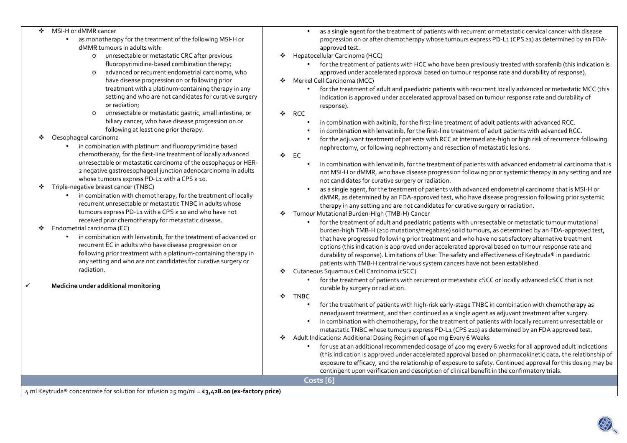| in combination with chemotherapy, for the treatment of locally<br>dMMR, as determined by an FDA-approved test, who have disease progression following prior systemic<br>recurrent unresectable or metastatic TNBC in adults whose<br>therapy in any setting and are not candidates for curative surgery or radiation.<br>tumours express PD-L1 with a CPS ≥ 10 and who have not<br>Tumour Mutational Burden-High (TMB-H) Cancer<br>❖<br>received prior chemotherapy for metastatic disease.<br>for the treatment of adult and paediatric patients with unresectable or metastatic tumour mutational<br>$\bullet$<br>Endometrial carcinoma (EC)<br>❖<br>burden-high TMB-H (≥10 mutations/megabase) solid tumours, as determined by an FDA-approved test,<br>in combination with lenvatinib, for the treatment of advanced or<br>that have progressed following prior treatment and who have no satisfactory alternative treatment<br>recurrent EC in adults who have disease progression on or<br>options (this indication is approved under accelerated approval based on tumour response rate and<br>following prior treatment with a platinum-containing therapy in<br>durability of response). Limitations of Use: The safety and effectiveness of Keytruda® in paediatric<br>any setting and who are not candidates for curative surgery or<br>patients with TMB-H central nervous system cancers have not been established.<br>radiation.<br>Cutaneous Squamous Cell Carcinoma (cSCC)<br>❖<br>for the treatment of patients with recurrent or metastatic cSCC or locally advanced cSCC that is not<br>Medicine under additional monitoring<br>curable by surgery or radiation.<br><b>TNBC</b><br>❖<br>for the treatment of patients with high-risk early-stage TNBC in combination with chemotherapy as<br>neoadjuvant treatment, and then continued as a single agent as adjuvant treatment after surgery.<br>in combination with chemotherapy, for the treatment of patients with locally recurrent unresectable or<br>metastatic TNBC whose tumours express PD-L1 (CPS ≥10) as determined by an FDA approved test.<br>Adult Indications: Additional Dosing Regimen of 400 mg Every 6 Weeks<br>❖<br>for use at an additional recommended dosage of 400 mg every 6 weeks for all approved adult indications<br>(this indication is approved under accelerated approval based on pharmacokinetic data, the relationship of<br>exposure to efficacy, and the relationship of exposure to safety. Continued approval for this dosing may be |
|------------------------------------------------------------------------------------------------------------------------------------------------------------------------------------------------------------------------------------------------------------------------------------------------------------------------------------------------------------------------------------------------------------------------------------------------------------------------------------------------------------------------------------------------------------------------------------------------------------------------------------------------------------------------------------------------------------------------------------------------------------------------------------------------------------------------------------------------------------------------------------------------------------------------------------------------------------------------------------------------------------------------------------------------------------------------------------------------------------------------------------------------------------------------------------------------------------------------------------------------------------------------------------------------------------------------------------------------------------------------------------------------------------------------------------------------------------------------------------------------------------------------------------------------------------------------------------------------------------------------------------------------------------------------------------------------------------------------------------------------------------------------------------------------------------------------------------------------------------------------------------------------------------------------------------------------------------------------------------------------------------------------------------------------------------------------------------------------------------------------------------------------------------------------------------------------------------------------------------------------------------------------------------------------------------------------------------------------------------------------------------------------------------------------------------------------------------------------------------------------------------------------------------------------|
| contingent upon verification and description of clinical benefit in the confirmatory trials.                                                                                                                                                                                                                                                                                                                                                                                                                                                                                                                                                                                                                                                                                                                                                                                                                                                                                                                                                                                                                                                                                                                                                                                                                                                                                                                                                                                                                                                                                                                                                                                                                                                                                                                                                                                                                                                                                                                                                                                                                                                                                                                                                                                                                                                                                                                                                                                                                                                   |
|                                                                                                                                                                                                                                                                                                                                                                                                                                                                                                                                                                                                                                                                                                                                                                                                                                                                                                                                                                                                                                                                                                                                                                                                                                                                                                                                                                                                                                                                                                                                                                                                                                                                                                                                                                                                                                                                                                                                                                                                                                                                                                                                                                                                                                                                                                                                                                                                                                                                                                                                                |
| Oesophageal carcinoma<br>❖<br>for the adjuvant treatment of patients with RCC at intermediate-high or high risk of recurrence following<br>in combination with platinum and fluoropyrimidine based<br>nephrectomy, or following nephrectomy and resection of metastatic lesions.<br>chemotherapy, for the first-line treatment of locally advanced<br>❖ EC<br>unresectable or metastatic carcinoma of the oesophagus or HER-<br>in combination with lenvatinib, for the treatment of patients with advanced endometrial carcinoma that is<br>$\bullet$<br>2 negative gastroesophageal junction adenocarcinoma in adults<br>not MSI-H or dMMR, who have disease progression following prior systemic therapy in any setting and are<br>whose tumours express PD-L1 with a CPS ≥ 10.<br>not candidates for curative surgery or radiation.<br>Triple-negative breast cancer (TNBC)<br>❖<br>as a single agent, for the treatment of patients with advanced endometrial carcinoma that is MSI-H or                                                                                                                                                                                                                                                                                                                                                                                                                                                                                                                                                                                                                                                                                                                                                                                                                                                                                                                                                                                                                                                                                                                                                                                                                                                                                                                                                                                                                                                                                                                                                  |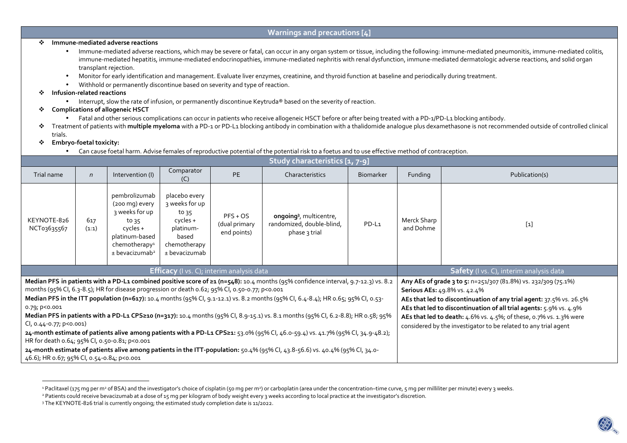### **Warnings and precautions [4]**

## **Immune-mediated adverse reactions**

- Immune-mediated adverse reactions, which may be severe or fatal, can occur in any organ system or tissue, including the following: immune-mediated pneumonitis, immune-mediated colitis, immune-mediated hepatitis, immune-mediated endocrinopathies, immune-mediated nephritis with renal dysfunction, immune-mediated dermatologic adverse reactions, and solid organ transplant rejection.
- •Monitor for early identification and management. Evaluate liver enzymes, creatinine, and thyroid function at baseline and periodically during treatment.
- •Withhold or permanently discontinue based on severity and type of reaction.

#### ÷ **Infusion-related reactions**

• Interrupt, slow the rate of infusion, or permanently discontinue Keytruda® based on the severity of reaction.

# **Complications of allogeneic HSCT**

- Fatal and other serious complications can occur in patients who receive allogeneic HSCT before or after being treated with a PD-1/PD-L1 blocking antibody.
- \* Treatment of patients with **multiple myeloma** with a PD-1 or PD-L1 blocking antibody in combination with a thalidomide analogue plus dexamethasone is not recommended outside of controlled clinical<br>← trials trials.

### ❖ **Embryo-foetal toxicity:**

•Can cause foetal harm. Advise females of reproductive potential of the potential risk to a foetus and to use effective method of contraception.

| Study characteristics [1, 7-9]                                                                                                                                                                                                                                                                                                                                                                                                                                                                                                                                                                                                                                                                                                                                                                                                                                                                                               |              |                                                                                                                                                       |                                                                                                               |                                                                                                                                 |                                     |       |                                                                                                                                                                                                                                                                                                                                                                                      |                |  |
|------------------------------------------------------------------------------------------------------------------------------------------------------------------------------------------------------------------------------------------------------------------------------------------------------------------------------------------------------------------------------------------------------------------------------------------------------------------------------------------------------------------------------------------------------------------------------------------------------------------------------------------------------------------------------------------------------------------------------------------------------------------------------------------------------------------------------------------------------------------------------------------------------------------------------|--------------|-------------------------------------------------------------------------------------------------------------------------------------------------------|---------------------------------------------------------------------------------------------------------------|---------------------------------------------------------------------------------------------------------------------------------|-------------------------------------|-------|--------------------------------------------------------------------------------------------------------------------------------------------------------------------------------------------------------------------------------------------------------------------------------------------------------------------------------------------------------------------------------------|----------------|--|
| Trial name                                                                                                                                                                                                                                                                                                                                                                                                                                                                                                                                                                                                                                                                                                                                                                                                                                                                                                                   | $\mathsf{n}$ | Intervention (I)                                                                                                                                      | Comparator<br>(C)                                                                                             | <b>PE</b>                                                                                                                       | <b>Biomarker</b><br>Characteristics |       | Funding                                                                                                                                                                                                                                                                                                                                                                              | Publication(s) |  |
| KEYNOTE-826<br>NCT03635567                                                                                                                                                                                                                                                                                                                                                                                                                                                                                                                                                                                                                                                                                                                                                                                                                                                                                                   | 617<br>(1:1) | pembrolizumab<br>(200 mg) every<br>3 weeks for up<br>to 35<br>cycles +<br>platinum-based<br>chemotherapy <sup>1</sup><br>$±$ bevacizumab <sup>2</sup> | placebo every<br>3 weeks for up<br>to $35$<br>cycles +<br>platinum-<br>based<br>chemotherapy<br>± bevacizumab | $PFS + OS$<br>ongoing <sup>3</sup> , multicentre,<br>randomized, double-blind,<br>(dual primary<br>end points)<br>phase 3 trial |                                     | PD-L1 | Merck Sharp<br>and Dohme                                                                                                                                                                                                                                                                                                                                                             | $[1]$          |  |
| <b>Efficacy</b> (I vs. C); interim analysis data                                                                                                                                                                                                                                                                                                                                                                                                                                                                                                                                                                                                                                                                                                                                                                                                                                                                             |              |                                                                                                                                                       |                                                                                                               |                                                                                                                                 |                                     |       | <b>Safety</b> (I vs. C), interim analysis data                                                                                                                                                                                                                                                                                                                                       |                |  |
| Median PFS in patients with a PD-L1 combined positive score of ≥1 (n=548): 10.4 months (95% confidence interval, 9.7-12.3) vs. 8.2<br>months (95% CI, 6.3-8.5); HR for disease progression or death 0.62; 95% CI, 0.50-0.77; p<0.001<br>Median PFS in the ITT population (n=617): 10.4 months (95% Cl, 9.1-12.1) vs. 8.2 months (95% Cl, 6.4-8.4); HR 0.65; 95% Cl, 0.53-<br>0.79; p<0.001<br>Median PFS in patients with a PD-L1 CPS≥10 (n=317): 10.4 months (95% Cl, 8.9-15.1) vs. 8.1 months (95% Cl, 6.2-8.8); HR 0.58; 95%<br>CI, 0.44-0.77; p<0.001)<br>24-month estimate of patients alive among patients with a PD-L1 CPS≥1: 53.0% (95% Cl, 46.0-59.4) vs. 41.7% (95% Cl, 34.9-48.2);<br>HR for death 0.64; 95% CI, 0.50-0.81; p<0.001<br>24-month estimate of patients alive among patients in the ITT-population: 50.4% (95% CI, 43.8-56.6) vs. 40.4% (95% CI, 34.0-<br>46.6); HR 0.67; 95% CI, 0.54-0.84; p<0.001 |              |                                                                                                                                                       |                                                                                                               |                                                                                                                                 |                                     |       | Any AEs of grade 3 to 5: n=251/307 (81.8%) vs. 232/309 (75.1%)<br>Serious AEs: 49.8% vs. 42.4%<br>AEs that led to discontinuation of any trial agent: 37.5% vs. 26.5%<br>AEs that led to discontinuation of all trial agents: 5.9% vs. 4.9%<br>AEs that led to death: 4.6% vs. 4.5%; of these, 0.7% vs. 1.3% were<br>considered by the investigator to be related to any trial agent |                |  |

<sup>&</sup>lt;sup>1</sup> Paclitaxel (175 mg per m<sup>2</sup> of BSA) and the investigator's choice of cisplatin (50 mg per m<sup>2</sup>) or carboplatin (area under the concentration–time curve, 5 mg per milliliter per minute) every 3 weeks.

<sup>&</sup>lt;sup>2</sup> Patients could receive bevacizumab at a dose of 15 mg per kilogram of body weight every 3 weeks according to local practice at the investigator's discretion.

<sup>&</sup>lt;sup>3</sup> The KEYNOTE-826 trial is currently ongoing; the estimated study completion date is 11/2022.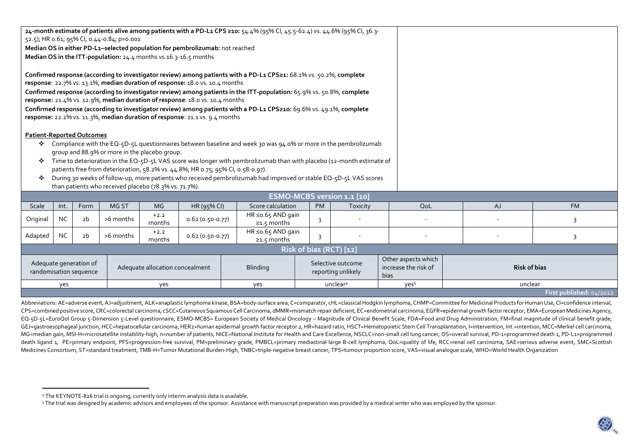|                                                                                                                                                                                                    | 24-month estimate of patients alive among patients with a PD-L1 CPS ≥10: 54.4% (95% Cl, 45.5-62.4) vs. 44.6% (95% Cl, 36.3-<br>52.5); HR 0.61; 95% CI, 0.44-0.84; p=0.001<br>Median OS in either PD-L1-selected population for pembrolizumab: not reached<br>Median OS in the ITT-population: 24.4 months vs.16.3-16.5 months<br>Confirmed response (according to investigator review) among patients with a PD-L1 CPS≥1: 68.1% vs. 50.2%, complete<br>response: 22.7% vs. 13.1%, median duration of response: 18.0 vs. 10.4 months<br>Confirmed response (according to investigator review) among patients in the ITT-population: 65.9% vs. 50.8%, complete |                |                 |                  |                                         |                                                     |                         |                      |                  |         |                |
|----------------------------------------------------------------------------------------------------------------------------------------------------------------------------------------------------|--------------------------------------------------------------------------------------------------------------------------------------------------------------------------------------------------------------------------------------------------------------------------------------------------------------------------------------------------------------------------------------------------------------------------------------------------------------------------------------------------------------------------------------------------------------------------------------------------------------------------------------------------------------|----------------|-----------------|------------------|-----------------------------------------|-----------------------------------------------------|-------------------------|----------------------|------------------|---------|----------------|
| response: 21.4% vs. 12.9%, median duration of response: 18.0 vs. 10.4 months                                                                                                                       |                                                                                                                                                                                                                                                                                                                                                                                                                                                                                                                                                                                                                                                              |                |                 |                  |                                         |                                                     |                         |                      |                  |         |                |
| Confirmed response (according to investigator review) among patients with a PD-L1 CPS≥10: 69.6% vs. 49.1%, complete<br>response: 22.2% vs. 11.3%, median duration of response: 21.1 vs. 9.4 months |                                                                                                                                                                                                                                                                                                                                                                                                                                                                                                                                                                                                                                                              |                |                 |                  |                                         |                                                     |                         |                      |                  |         |                |
|                                                                                                                                                                                                    |                                                                                                                                                                                                                                                                                                                                                                                                                                                                                                                                                                                                                                                              |                |                 |                  |                                         |                                                     |                         |                      |                  |         |                |
| <b>Patient-Reported Outcomes</b><br>Compliance with the EQ-5D-5L questionnaires between baseline and week 30 was 94.0% or more in the pembrolizumab<br>❖                                           |                                                                                                                                                                                                                                                                                                                                                                                                                                                                                                                                                                                                                                                              |                |                 |                  |                                         |                                                     |                         |                      |                  |         |                |
| group and 88.9% or more in the placebo group.                                                                                                                                                      |                                                                                                                                                                                                                                                                                                                                                                                                                                                                                                                                                                                                                                                              |                |                 |                  |                                         |                                                     |                         |                      |                  |         |                |
| Time to deterioration in the EQ-5D-5L VAS score was longer with pembrolizumab than with placebo (12-month estimate of<br>❖                                                                         |                                                                                                                                                                                                                                                                                                                                                                                                                                                                                                                                                                                                                                                              |                |                 |                  |                                         |                                                     |                         |                      |                  |         |                |
| patients free from deterioration, 58.2% vs. 44.8%; HR 0.75; 95% CI, 0.58-0.97).                                                                                                                    |                                                                                                                                                                                                                                                                                                                                                                                                                                                                                                                                                                                                                                                              |                |                 |                  |                                         |                                                     |                         |                      |                  |         |                |
| During 30 weeks of follow-up, more patients who received pembrolizumab had improved or stable EQ-5D-5L VAS scores<br>❖<br>than patients who received placebo (78.3% vs. 71.7%).                    |                                                                                                                                                                                                                                                                                                                                                                                                                                                                                                                                                                                                                                                              |                |                 |                  |                                         |                                                     |                         |                      |                  |         |                |
| ESMO-MCBS version 1.1 [10]                                                                                                                                                                         |                                                                                                                                                                                                                                                                                                                                                                                                                                                                                                                                                                                                                                                              |                |                 |                  |                                         |                                                     |                         |                      |                  |         |                |
| Scale                                                                                                                                                                                              | Int.                                                                                                                                                                                                                                                                                                                                                                                                                                                                                                                                                                                                                                                         | Form           | MG ST           | <b>MG</b>        | HR (95% CI)                             | Score calculation                                   | <b>PM</b>               | Toxicity             | QoL              | AJ      | <b>FM</b>      |
| Original                                                                                                                                                                                           | NC.                                                                                                                                                                                                                                                                                                                                                                                                                                                                                                                                                                                                                                                          | 2b             | >6 months       | $+2.2$<br>months | $0.62(0.50-0.77)$                       | HR $\leq 0.65$ AND gain<br>$\geq 1.5$ months        | 3                       |                      |                  |         | 3              |
| Adapted                                                                                                                                                                                            | <b>NC</b>                                                                                                                                                                                                                                                                                                                                                                                                                                                                                                                                                                                                                                                    | 2 <sub>b</sub> | >6 months       | $+2.2$<br>months | $0.62(0.50-0.77)$                       | HR ≤o.65 AND gain<br>$\geq 1.5$ months              | 3                       |                      |                  |         | $\overline{3}$ |
|                                                                                                                                                                                                    |                                                                                                                                                                                                                                                                                                                                                                                                                                                                                                                                                                                                                                                              |                |                 |                  |                                         |                                                     | Risk of bias (RCT) [12] |                      |                  |         |                |
| Adequate generation of<br>Adequate allocation concealment<br>randomisation sequence                                                                                                                |                                                                                                                                                                                                                                                                                                                                                                                                                                                                                                                                                                                                                                                              |                | <b>Blinding</b> |                  | Selective outcome<br>reporting unlikely | Other aspects which<br>increase the risk of<br>bias | <b>Risk of bias</b>     |                      |                  |         |                |
| yes<br>yes                                                                                                                                                                                         |                                                                                                                                                                                                                                                                                                                                                                                                                                                                                                                                                                                                                                                              |                |                 |                  |                                         | yes                                                 |                         | unclear <sup>4</sup> | yes <sup>5</sup> | unclear |                |

**First published:** 04/2022

Abbreviations: AE=adverse event, AJ=adjustment, ALK=anaplastic lymphoma kinase, BSA=body-surface area, C=comparator, cHL=classical Hodgkin lymphoma, CHMP=Committee for Medicinal Products for Human Use, Cl=confidence interv CPS=combined positive score, CRC=colorectal carcinoma, cSCC=Cutaneous Squamous Cell Carcinoma, dMMR=mismatch repair deficient, EC=endometrial carcinoma, EGFR=epidermal growth factor receptor, EMA=European Medicines Agency, EQ-5D-5L=EuroQol Group 5-Dimension 5-Level questionnaire, ESMO-MCBS= European Society of Medical Oncology – Magnitude of Clinical Benefit Scale, FDA=Food and Drug Administration, FM=final magnitude of clinical benefit grade, GEJ=qastroesophageal junction, HCC=hepatocellular carcinoma, HER2=human epidermal growth factor receptor 2, HR=hazard ratio, HSCT=Hematopoietic Stem Cell Transplantation, l=intervention, Int.=intention, MCC=Merkel cell car MG=median gain, MSI-H=microsatellite instability-high, n=number of patients, NICE=National Institute for Health and Care Excellence, NSCLC=non-small cell lung cancer, OS=overall survival, PD-1=programmed death 1, PD-L1=pro death ligand 1, PE=primary endpoint, PFS=progression-free survival, PM=preliminary grade, PMBCL=primary mediastinal large B-cell lymphoma, QoL=quality of life, RCC=renal cell carcinoma, SAE=serious adverse event, SMC=Scott Medicines Consortium, ST=standard treatment, TMB-H=Tumor Mutational Burden-High, TNBC=triple-negative breast cancer, TPS=tumour proportion score, VAS=visual analogue scale, WHO=World Health Organization

<sup>4</sup> The KEYNOTE-826 trial is ongoing; currently only interim analysis data is available.

<sup>&</sup>lt;sup>5</sup> The trial was designed by academic advisors and employees of the sponsor. Assistance with manuscript preparation was provided by a medical writer who was employed by the sponsor.